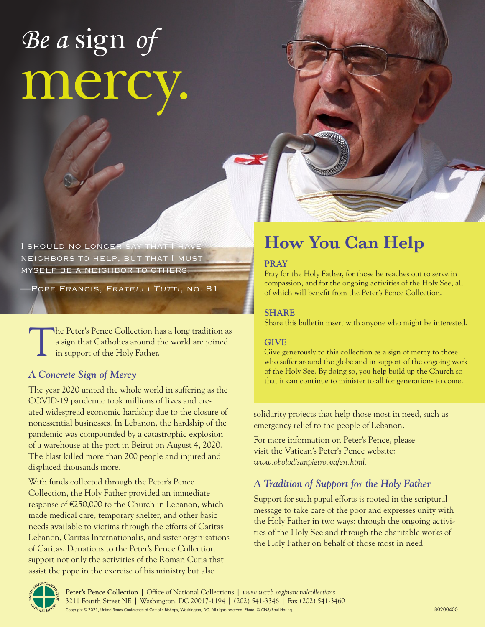# *Be a* sign *of* mercy.

I SHOULD NO LONGER SAY THAT neighbors to help, but that I must myself be a neighbor to others.

POPE FRANCIS, FRATELLI TUTTI, NO. 81

The Peter's Pence Collection has a long tradition as a sign that Catholics around the world are joined in support of the Holy Father.

## *A Concrete Sign of Mercy*

The year 2020 united the whole world in suffering as the COVID-19 pandemic took millions of lives and created widespread economic hardship due to the closure of nonessential businesses. In Lebanon, the hardship of the pandemic was compounded by a catastrophic explosion of a warehouse at the port in Beirut on August 4, 2020. The blast killed more than 200 people and injured and displaced thousands more.

With funds collected through the Peter's Pence Collection, the Holy Father provided an immediate response of €250,000 to the Church in Lebanon, which made medical care, temporary shelter, and other basic needs available to victims through the efforts of Caritas Lebanon, Caritas Internationalis, and sister organizations of Caritas. Donations to the Peter's Pence Collection support not only the activities of the Roman Curia that assist the pope in the exercise of his ministry but also

# **How You Can Help**

### **PRAY**

Pray for the Holy Father, for those he reaches out to serve in compassion, and for the ongoing activities of the Holy See, all of which will benefit from the Peter's Pence Collection.

### **SHARE**

Share this bulletin insert with anyone who might be interested.

#### **GIVE**

Give generously to this collection as a sign of mercy to those who suffer around the globe and in support of the ongoing work of the Holy See. By doing so, you help build up the Church so that it can continue to minister to all for generations to come.

solidarity projects that help those most in need, such as emergency relief to the people of Lebanon.

For more information on Peter's Pence, please visit the Vatican's Peter's Pence website: *www.obolodisanpietro.va/en.html*.

## *A Tradition of Support for the Holy Father*

Support for such papal efforts is rooted in the scriptural message to take care of the poor and expresses unity with the Holy Father in two ways: through the ongoing activities of the Holy See and through the charitable works of the Holy Father on behalf of those most in need.



**Peter's Pence Collection** | Office of National Collections | *www.usccb.org/nationalcollections* 3211 Fourth Street NE | Washington, DC 20017-1194 | (202) 541-3346 | Fax (202) 541-3460 Copyright © 2021, United States Conference of Catholic Bishops, Washington, DC. All rights reserved. Photo: © CNS/Paul Haring.